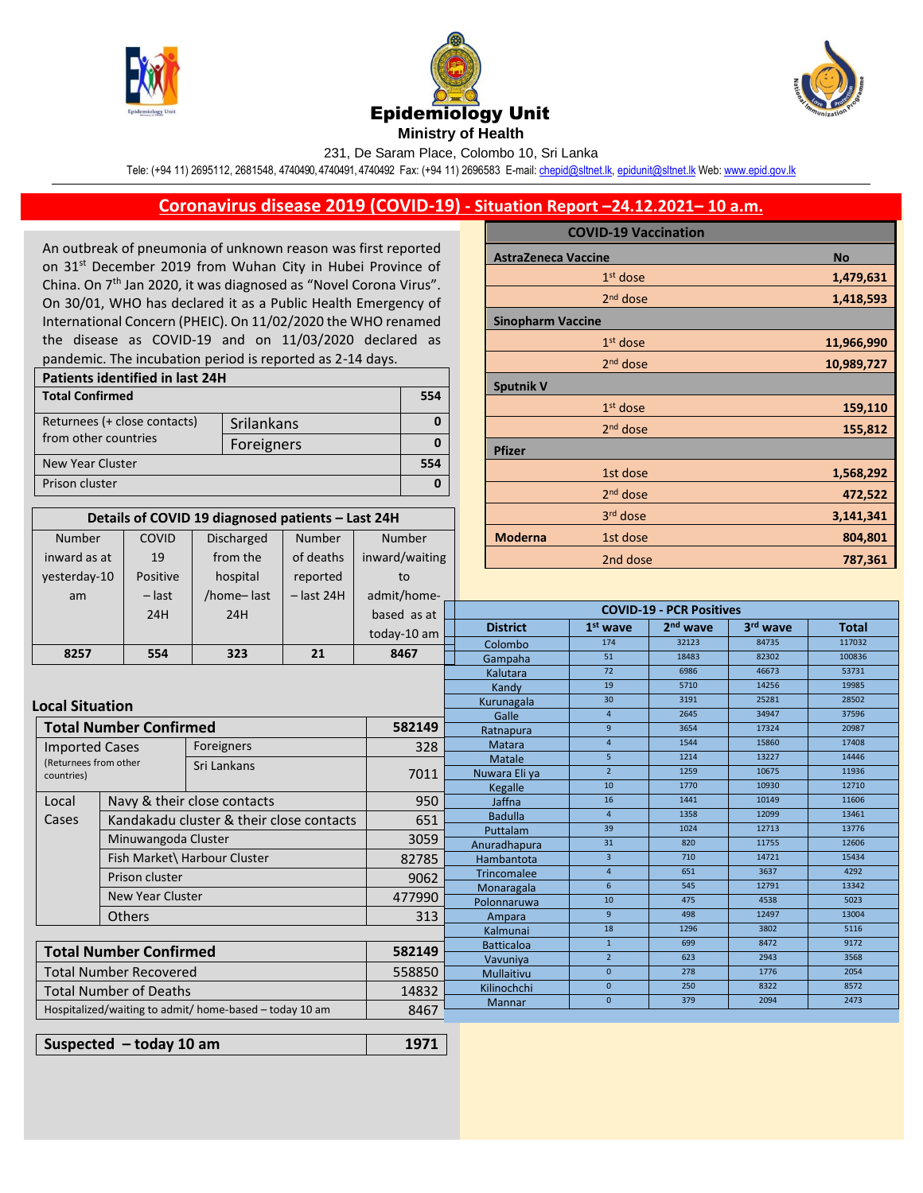

Number inward as at COVID 19





231, De Saram Place, Colombo 10, Sri Lanka

Tele: (+94 11) 2695112, 2681548, 4740490, 4740491, 4740492 Fax: (+94 11) 2696583 E-mail[: chepid@sltnet.lk,](mailto:chepi@sltnet.lk) [epidunit@sltnet.lk](mailto:epidunit@sltnet.lk) Web[: www.epid.gov.lk](http://www.epid.gov.lk/)

## **Coronavirus disease 2019 (COVID-19) - Situation Report –24.12.2021– 10 a.m.**

An outbreak of pneumonia of unknown reason was first reported on 31<sup>st</sup> December 2019 from Wuhan City in Hubei Province of China. On 7<sup>th</sup> Jan 2020, it was diagnosed as "Novel Corona Virus". On 30/01, WHO has declared it as a Public Health Emergency of International Concern (PHEIC). On 11/02/2020 the WHO renamed the disease as COVID-19 and on 11/03/2020 declared as pandemic. The incubation period is reported as 2-14 days.

| <b>Patients identified in last 24H</b> |            |  |  |  |  |
|----------------------------------------|------------|--|--|--|--|
| <b>Total Confirmed</b>                 |            |  |  |  |  |
| Returnees (+ close contacts)           | Srilankans |  |  |  |  |
| from other countries                   | Foreigners |  |  |  |  |
| New Year Cluster                       |            |  |  |  |  |
| Prison cluster                         |            |  |  |  |  |

**Details of COVID 19 diagnosed patients – Last 24H**

Number

Number

Discharged from the

|                            | <b>COVID-19 Vaccination</b> |            |
|----------------------------|-----------------------------|------------|
| <b>AstraZeneca Vaccine</b> |                             | <b>No</b>  |
|                            | $1st$ dose                  | 1,479,631  |
|                            | $2nd$ dose                  | 1,418,593  |
| <b>Sinopharm Vaccine</b>   |                             |            |
|                            | 1 <sup>st</sup> dose        | 11,966,990 |
|                            | $2nd$ dose                  | 10,989,727 |
| <b>Sputnik V</b>           |                             |            |
|                            | 1 <sup>st</sup> dose        | 159,110    |
|                            | 2 <sup>nd</sup> dose        | 155,812    |
| <b>Pfizer</b>              |                             |            |
|                            | 1st dose                    | 1,568,292  |
|                            | $2nd$ dose                  | 472,522    |
|                            | 3rd dose                    | 3,141,341  |
| <b>Moderna</b>             | 1st dose                    | 804,801    |
|                            | 2nd dose                    | 787,361    |

| inward as at                                                    | 19                                      | from the                    | of deaths    | inward/waiting |                              | 2nd dose                        |                 |                      | 787,361  |              |
|-----------------------------------------------------------------|-----------------------------------------|-----------------------------|--------------|----------------|------------------------------|---------------------------------|-----------------|----------------------|----------|--------------|
| yesterday-10                                                    | Positive                                | hospital                    | reported     | to             |                              |                                 |                 |                      |          |              |
| am                                                              | $-$ last                                | /home-last                  | $-$ last 24H | admit/home-    |                              |                                 |                 |                      |          |              |
|                                                                 | 24H                                     | 24H                         |              | based as at    |                              | <b>COVID-19 - PCR Positives</b> |                 |                      |          |              |
|                                                                 |                                         |                             |              | today-10 am    |                              | <b>District</b>                 | $1st$ wave      | 2 <sup>nd</sup> wave | 3rd wave | <b>Total</b> |
|                                                                 |                                         |                             |              |                |                              | Colombo                         | 174             | 32123                | 84735    | 117032       |
| 8257                                                            | 554                                     | 323                         | 21           | 8467           |                              | Gampaha                         | 51              | 18483                | 82302    | 100836       |
|                                                                 |                                         |                             |              |                | Kalutara                     | 72                              | 6986            | 46673                | 53731    |              |
|                                                                 |                                         |                             |              |                |                              | Kandy                           | 19              | 5710                 | 14256    | 19985        |
|                                                                 | <b>Local Situation</b>                  |                             |              |                |                              | Kurunagala                      | 30 <sup>°</sup> | 3191                 | 25281    | 28502        |
|                                                                 |                                         |                             |              |                |                              | Galle                           | $\overline{4}$  | 2645                 | 34947    | 37596        |
|                                                                 | <b>Total Number Confirmed</b><br>582149 |                             |              |                |                              | Ratnapura                       | $\overline{9}$  | 3654                 | 17324    | 20987        |
|                                                                 | Foreigners<br><b>Imported Cases</b>     |                             |              | 328            |                              | Matara                          | $\overline{4}$  | 1544                 | 15860    | 17408        |
|                                                                 | (Returnees from other<br>Sri Lankans    |                             |              |                |                              | Matale                          | 5               | 1214                 | 13227    | 14446        |
| countries)                                                      |                                         |                             | 7011         |                | Nuwara Eli ya                | $\overline{2}$                  | 1259            | 10675                | 11936    |              |
|                                                                 |                                         |                             |              |                |                              | Kegalle                         | 10              | 1770                 | 10930    | 12710        |
| Local                                                           |                                         | Navy & their close contacts |              | 950            |                              | Jaffna                          | 16              | 1441                 | 10149    | 11606        |
| Kandakadu cluster & their close contacts<br>Cases               |                                         |                             | 651          |                | <b>Badulla</b>               | $\overline{4}$                  | 1358            | 12099                | 13461    |              |
|                                                                 |                                         |                             |              | 3059           |                              | Puttalam                        | 39              | 1024                 | 12713    | 13776        |
| Minuwangoda Cluster                                             |                                         |                             |              |                | Anuradhapura                 | 31                              | 820             | 11755                | 12606    |              |
|                                                                 | Fish Market\ Harbour Cluster            |                             | 82785        |                | Hambantota                   | $\overline{3}$                  | 710             | 14721                | 15434    |              |
| Prison cluster<br><b>New Year Cluster</b><br><b>Others</b>      |                                         | 9062                        |              | Trincomalee    | $\overline{4}$               | 651                             | 3637            | 4292                 |          |              |
|                                                                 |                                         | 477990                      |              | Monaragala     | 6                            | 545                             | 12791           | 13342                |          |              |
|                                                                 |                                         |                             |              | Polonnaruwa    | 10                           | 475                             | 4538            | 5023                 |          |              |
|                                                                 |                                         | 313                         |              | Ampara         | 9                            | 498                             | 12497           | 13004                |          |              |
|                                                                 |                                         |                             |              |                |                              | Kalmunai                        | 18              | 1296                 | 3802     | 5116         |
|                                                                 | <b>Total Number Confirmed</b><br>582149 |                             |              |                | <b>Batticaloa</b>            | $\mathbf{1}$                    | 699             | 8472                 | 9172     |              |
|                                                                 |                                         |                             |              |                | Vavuniya                     | $\overline{2}$                  | 623             | 2943                 | 3568     |              |
| <b>Total Number Recovered</b><br>558850                         |                                         |                             |              | Mullaitivu     | $\mathbf{0}$                 | 278                             | 1776<br>8322    | 2054<br>8572         |          |              |
| <b>Total Number of Deaths</b><br>14832                          |                                         |                             |              | Kilinochchi    | $\mathbf{0}$<br>$\mathbf{0}$ | 250<br>379                      | 2094            | 2473                 |          |              |
| 8467<br>Hospitalized/waiting to admit/ home-based - today 10 am |                                         |                             |              | Mannar         |                              |                                 |                 |                      |          |              |
|                                                                 |                                         |                             |              |                |                              |                                 |                 |                      |          |              |

**Suspected – today 10 am 1971**